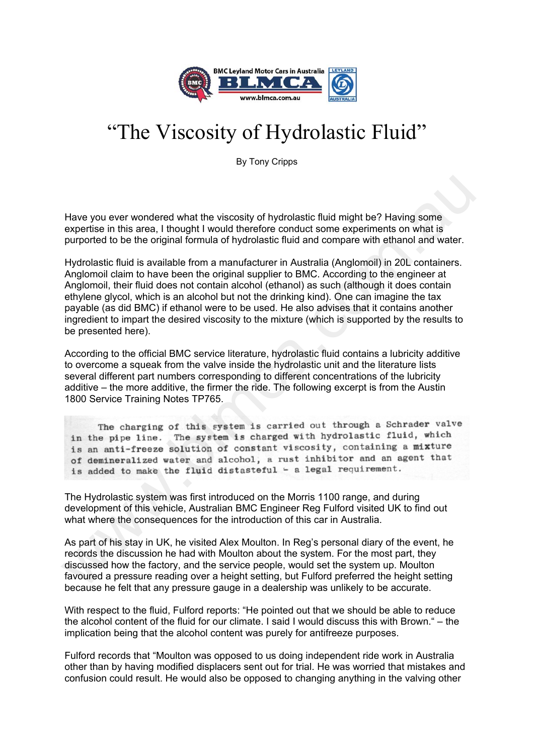

## "The Viscosity of Hydrolastic Fluid"

By Tony Cripps

Have you ever wondered what the viscosity of hydrolastic fluid might be? Having some expertise in this area, I thought I would therefore conduct some experiments on what is purported to be the original formula of hydrolastic fluid and compare with ethanol and water.

Hydrolastic fluid is available from a manufacturer in Australia (Anglomoil) in 20L containers. Anglomoil claim to have been the original supplier to BMC. According to the engineer at Anglomoil, their fluid does not contain alcohol (ethanol) as such (although it does contain ethylene glycol, which is an alcohol but not the drinking kind). One can imagine the tax payable (as did BMC) if ethanol were to be used. He also advises that it contains another ingredient to impart the desired viscosity to the mixture (which is supported by the results to be presented here). Have you ever wondered what the viscosity of hydrolastic fluid might be? Having some<br>expertise in this area, I thought I would therefore conduct some experiments on what is<br>purported to be the original formula of hydrolas

According to the official BMC service literature, hydrolastic fluid contains a lubricity additive to overcome a squeak from the valve inside the hydrolastic unit and the literature lists several different part numbers corresponding to different concentrations of the lubricity additive – the more additive, the firmer the ride. The following excerpt is from the Austin 1800 Service Training Notes TP765.

The Hydrolastic system was first introduced on the Morris 1100 range, and during development of this vehicle, Australian BMC Engineer Reg Fulford visited UK to find out what where the consequences for the introduction of this car in Australia.

As part of his stay in UK, he visited Alex Moulton. In Reg's personal diary of the event, he records the discussion he had with Moulton about the system. For the most part, they discussed how the factory, and the service people, would set the system up. Moulton favoured a pressure reading over a height setting, but Fulford preferred the height setting because he felt that any pressure gauge in a dealership was unlikely to be accurate.

With respect to the fluid, Fulford reports: "He pointed out that we should be able to reduce the alcohol content of the fluid for our climate. I said I would discuss this with Brown." – the implication being that the alcohol content was purely for antifreeze purposes.

Fulford records that "Moulton was opposed to us doing independent ride work in Australia other than by having modified displacers sent out for trial. He was worried that mistakes and confusion could result. He would also be opposed to changing anything in the valving other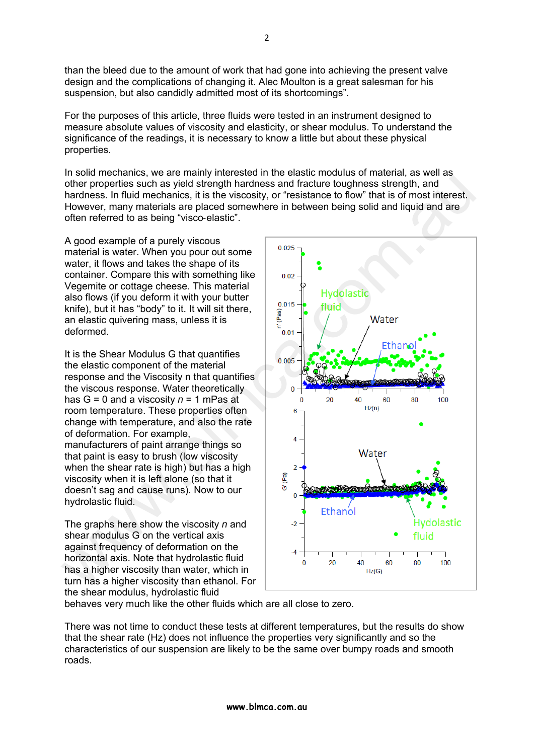than the bleed due to the amount of work that had gone into achieving the present valve design and the complications of changing it. Alec Moulton is a great salesman for his suspension, but also candidly admitted most of its shortcomings".

For the purposes of this article, three fluids were tested in an instrument designed to measure absolute values of viscosity and elasticity, or shear modulus. To understand the significance of the readings, it is necessary to know a little but about these physical properties.

In solid mechanics, we are mainly interested in the elastic modulus of material, as well as other properties such as yield strength hardness and fracture toughness strength, and hardness. In fluid mechanics, it is the viscosity, or "resistance to flow" that is of most interest. However, many materials are placed somewhere in between being solid and liquid and are often referred to as being "visco-elastic".

A good example of a purely viscous material is water. When you pour out some water, it flows and takes the shape of its container. Compare this with something like Vegemite or cottage cheese. This material also flows (if you deform it with your butter knife), but it has "body" to it. It will sit there, an elastic quivering mass, unless it is deformed.

It is the Shear Modulus G that quantifies the elastic component of the material response and the Viscosity n that quantifies the viscous response. Water theoretically has G = 0 and a viscosity *n* = 1 mPas at room temperature. These properties often change with temperature, and also the rate of deformation. For example, manufacturers of paint arrange things so that paint is easy to brush (low viscosity when the shear rate is high) but has a high viscosity when it is left alone (so that it doesn't sag and cause runs). Now to our hydrolastic fluid.

The graphs here show the viscosity *n* and shear modulus G on the vertical axis against frequency of deformation on the horizontal axis. Note that hydrolastic fluid has a higher viscosity than water, which in turn has a higher viscosity than ethanol. For the shear modulus, hydrolastic fluid



behaves very much like the other fluids which are all close to zero.

There was not time to conduct these tests at different temperatures, but the results do show that the shear rate (Hz) does not influence the properties very significantly and so the characteristics of our suspension are likely to be the same over bumpy roads and smooth roads.